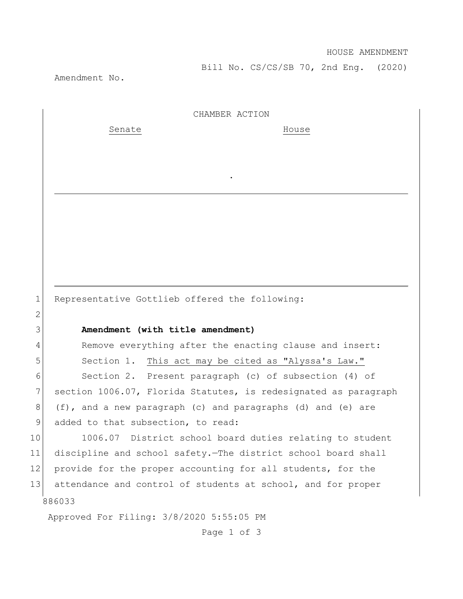Bill No. CS/CS/SB 70, 2nd Eng. (2020)

Amendment No.

2

CHAMBER ACTION

.

Senate House

1 Representative Gottlieb offered the following:

## 3 **Amendment (with title amendment)**

4 Remove everything after the enacting clause and insert: 5 Section 1. This act may be cited as "Alyssa's Law."

6 Section 2. Present paragraph (c) of subsection (4) of 7 section 1006.07, Florida Statutes, is redesignated as paragraph 8 (f), and a new paragraph (c) and paragraphs (d) and (e) are 9 added to that subsection, to read:

886033 10 1006.07 District school board duties relating to student 11 discipline and school safety.—The district school board shall 12 provide for the proper accounting for all students, for the 13 attendance and control of students at school, and for proper

Approved For Filing: 3/8/2020 5:55:05 PM

Page 1 of 3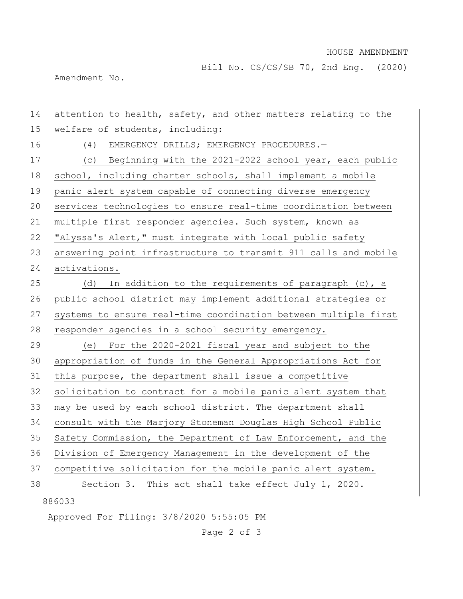## HOUSE AMENDMENT

Bill No. CS/CS/SB 70, 2nd Eng. (2020)

Amendment No.

886033 Approved For Filing: 3/8/2020 5:55:05 PM 14 attention to health, safety, and other matters relating to the 15 welfare of students, including: 16 (4) EMERGENCY DRILLS; EMERGENCY PROCEDURES.-17 (c) Beginning with the 2021-2022 school year, each public 18 school, including charter schools, shall implement a mobile 19 panic alert system capable of connecting diverse emergency 20 services technologies to ensure real-time coordination between 21 multiple first responder agencies. Such system, known as 22 "Alyssa's Alert," must integrate with local public safety 23 answering point infrastructure to transmit 911 calls and mobile 24 activations. 25 (d) In addition to the requirements of paragraph  $(c)$ , a 26 public school district may implement additional strategies or 27 systems to ensure real-time coordination between multiple first 28 responder agencies in a school security emergency. 29 (e) For the 2020-2021 fiscal year and subject to the 30 appropriation of funds in the General Appropriations Act for 31 this purpose, the department shall issue a competitive 32 solicitation to contract for a mobile panic alert system that 33 may be used by each school district. The department shall 34 consult with the Marjory Stoneman Douglas High School Public 35 Safety Commission, the Department of Law Enforcement, and the 36 Division of Emergency Management in the development of the 37 competitive solicitation for the mobile panic alert system. 38 Section 3. This act shall take effect July 1, 2020.

Page 2 of 3